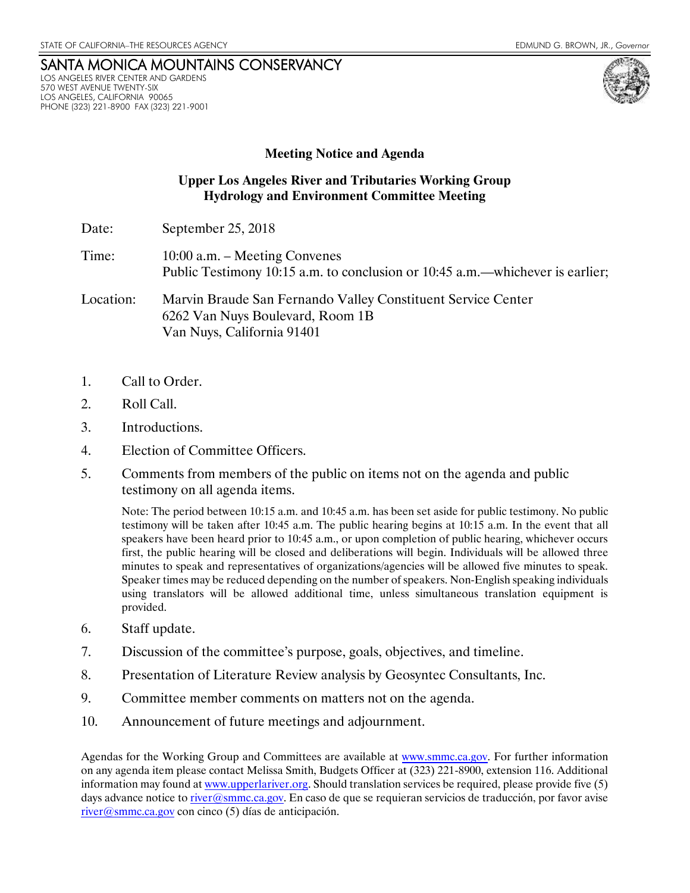## SANTA MONICA MOUNTAINS CONSERVANCY LOS ANGELES RIVER CENTER AND GARDENS 570 WEST AVENUE TWENTY-SIX LOS ANGELES, CALIFORNIA 90065 PHONE (323) 221-8900 FAX (323) 221-9001

## **Meeting Notice and Agenda**

## **Upper Los Angeles River and Tributaries Working Group Hydrology and Environment Committee Meeting**

- Date: September 25, 2018
- Time: 10:00 a.m. Meeting Convenes Public Testimony 10:15 a.m. to conclusion or 10:45 a.m.—whichever is earlier;
- Location: Marvin Braude San Fernando Valley Constituent Service Center 6262 Van Nuys Boulevard, Room 1B Van Nuys, California 91401
- 1. Call to Order.
- 2. Roll Call.
- 3. Introductions.
- 4. Election of Committee Officers.
- 5. Comments from members of the public on items not on the agenda and public testimony on all agenda items.

Note: The period between 10:15 a.m. and 10:45 a.m. has been set aside for public testimony. No public testimony will be taken after 10:45 a.m. The public hearing begins at 10:15 a.m. In the event that all speakers have been heard prior to 10:45 a.m., or upon completion of public hearing, whichever occurs first, the public hearing will be closed and deliberations will begin. Individuals will be allowed three minutes to speak and representatives of organizations/agencies will be allowed five minutes to speak. Speaker times may be reduced depending on the number of speakers. Non-English speaking individuals using translators will be allowed additional time, unless simultaneous translation equipment is provided.

- 6. Staff update.
- 7. Discussion of the committee's purpose, goals, objectives, and timeline.
- 8. Presentation of Literature Review analysis by Geosyntec Consultants, Inc.
- 9. Committee member comments on matters not on the agenda.
- 10. Announcement of future meetings and adjournment.

Agendas for the Working Group and Committees are available at [www.smmc.ca.gov.](http://www.smmc.ca.gov/) For further information on any agenda item please contact Melissa Smith, Budgets Officer at (323) 221-8900, extension 116. Additional information may found at [www.upperlariver.org.](http://www.upperlariver.org/) Should translation services be required, please provide five (5) days advance notice to [river@smmc.ca.gov.](mailto:river@smmc.ca.gov) En caso de que se requieran servicios de traducción, por favor avise [river@smmc.ca.gov](mailto:river@smmc.ca.gov) con cinco (5) días de anticipación.